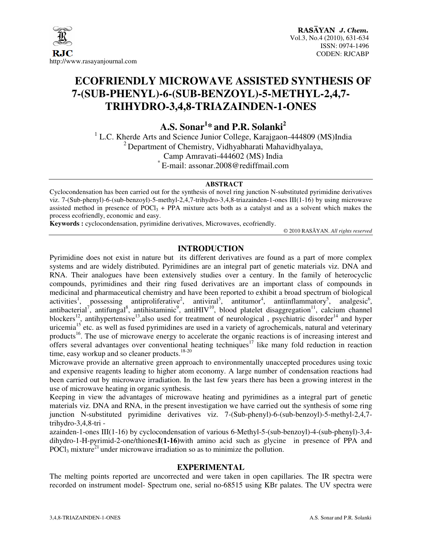

# **ECOFRIENDLY MICROWAVE ASSISTED SYNTHESIS OF 7-(SUB-PHENYL)-6-(SUB-BENZOYL)-5-METHYL-2,4,7- TRIHYDRO-3,4,8-TRIAZAINDEN-1-ONES**

**A.S. Sonar<sup>1</sup> \* and P.R. Solanki<sup>2</sup>**

<sup>1</sup> L.C. Kherde Arts and Science Junior College, Karajgaon-444809 (MS)India <sup>2</sup> Department of Chemistry, Vidhyabharati Mahavidhyalaya, Camp Amravati-444602 (MS) India \* E-mail: assonar.2008@rediffmail.com

#### **ABSTRACT**

Cyclocondensation has been carried out for the synthesis of novel ring junction N-substituted pyrimidine derivatives viz. 7-(Sub-phenyl)-6-(sub-benzoyl)-5-methyl-2,4,7-trihydro-3,4,8-triazainden-1-ones III(1-16) by using microwave assisted method in presence of POCl<sub>3</sub> + PPA mixture acts both as a catalyst and as a solvent which makes the process ecofriendly, economic and easy.

**Keywords :** cyclocondensation, pyrimidine derivatives, Microwaves, ecofriendly.

© 2010 RASĀYAN. *All rights reserved*

## **INTRODUCTION**

Pyrimidine does not exist in nature but its different derivatives are found as a part of more complex systems and are widely distributed. Pyrimidines are an integral part of genetic materials viz. DNA and RNA. Their analogues have been extensively studies over a century. In the family of heterocyclic compounds, pyrimidines and their ring fused derivatives are an important class of compounds in medicinal and pharmaceutical chemistry and have been reported to exhibit a broad spectrum of biological activities<sup>1</sup>, possessing antiproliferative<sup>2</sup>, antiviral<sup>3</sup>, antitumor<sup>4</sup>, antiinflammatory<sup>5</sup>, analgesic<sup>6</sup>, antibacterial<sup>7</sup>, antifungal<sup>8</sup>, antihistaminic<sup>9</sup>, antiHIV<sup>10</sup>, blood platelet disaggregation<sup>11</sup>, calcium channel blockers<sup>12</sup>, antihypertensive<sup>13</sup>,also used for treatment of neurological , psychiatric disorder<sup>14</sup> and hyper uricemia<sup>15</sup> etc. as well as fused pyrimidines are used in a variety of agrochemicals, natural and veterinary products<sup>16</sup>. The use of microwave energy to accelerate the organic reactions is of increasing interest and offers several advantages over conventional heating techniques<sup>17</sup> like many fold reduction in reaction time, easy workup and so cleaner products.<sup>18-20</sup>

Microwave provide an alternative green approach to environmentally unaccepted procedures using toxic and expensive reagents leading to higher atom economy. A large number of condensation reactions had been carried out by microwave irradiation. In the last few years there has been a growing interest in the use of microwave heating in organic synthesis.

Keeping in view the advantages of microwave heating and pyrimidines as a integral part of genetic materials viz. DNA and RNA, in the present investigation we have carried out the synthesis of some ring junction N-substituted pyrimidine derivatives viz. 7-(Sub-phenyl)-6-(sub-benzoyl)-5-methyl-2,4,7 trihydro-3,4,8-tri -

azainden-1-ones III(1-16) by cyclocondensation of various 6-Methyl-5-(sub-benzoyl)-4-(sub-phenyl)-3,4 dihydro-1-H-pyrimid-2-one/thiones**I(1-16)**with amino acid such as glycine in presence of PPA and  $POCl<sub>3</sub>$  mixture<sup>21</sup> under microwave irradiation so as to minimize the pollution.

### **EXPERIMENTAL**

The melting points reported are uncorrected and were taken in open capillaries. The IR spectra were recorded on instrument model- Spectrum one, serial no-68515 using KBr palates. The UV spectra were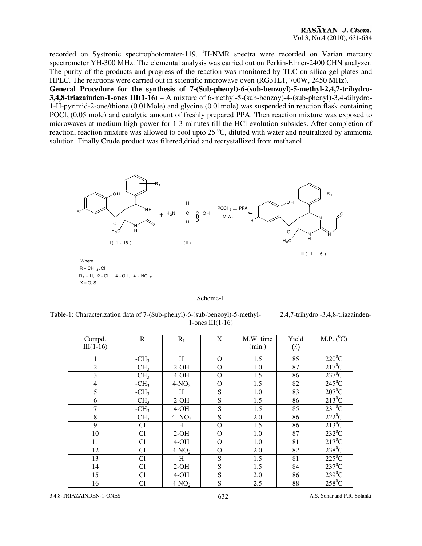recorded on Systronic spectrophotometer-119. <sup>1</sup>H-NMR spectra were recorded on Varian mercury spectrometer YH-300 MHz. The elemental analysis was carried out on Perkin-Elmer-2400 CHN analyzer. The purity of the products and progress of the reaction was monitored by TLC on silica gel plates and HPLC. The reactions were carried out in scientific microwave oven (RG31L1, 700W, 2450 MHz). **General Procedure for the synthesis of 7-(Sub-phenyl)-6-(sub-benzoyl)-5-methyl-2,4,7-trihydro-3,4,8-triazainden-1-ones III(1-16)** – A mixture of 6-methyl-5-(sub-benzoy)-4-(sub-phenyl)-3,4-dihydro-1-H-pyrimid-2-one/thione (0.01Mole) and glycine (0.01mole) was suspended in reaction flask containing POCl<sub>3</sub> (0.05 mole) and catalytic amount of freshly prepared PPA. Then reaction mixture was exposed to microwaves at medium high power for 1-3 minutes till the HCl evolution subsides. After completion of reaction, reaction mixture was allowed to cool upto  $25<sup>0</sup>C$ , diluted with water and neutralized by ammonia solution. Finally Crude product was filtered,dried and recrystallized from methanol.



| Scheme |
|--------|
|--------|

Table-1: Characterization data of 7-(Sub-phenyl)-6-(sub-benzoyl)-5-methyl- 2,4,7-trihydro -3,4,8-triazainden-1-ones III(1-16)

| Compd.<br>$III(1-16)$ | $\mathbb{R}$   | $R_1$    | X            | M.W. time<br>(min.) | Yield<br>$(\%)$ | M.P. $(^0C)$    |
|-----------------------|----------------|----------|--------------|---------------------|-----------------|-----------------|
| 1                     | $-CH3$         | H        | $\Omega$     | 1.5                 | 85              | $220^0C$        |
| $\overline{2}$        | $-CH3$         | $2-OH$   | $\Omega$     | 1.0                 | 87              | $217^0C$        |
| 3                     | $-CH3$         | $4-OH$   | $\Omega$     | 1.5                 | 86              | $237^0$ C       |
| 4                     | $-CH3$         | $4-NO2$  | $\Omega$     | 1.5                 | 82              | $245^{\circ}$ C |
| 5                     | $-CH3$         | H        | S            | 1.0                 | 83              | $207^0C$        |
| 6                     | $-CH3$         | $2-OH$   | S            | 1.5                 | 86              | $213^0C$        |
| $\overline{7}$        | $-CH3$         | $4-OH$   | S            | 1.5                 | 85              | $231^0C$        |
| 8                     | $-CH3$         | 4- $NO2$ | S            | 2.0                 | 86              | $222^0C$        |
| 9                     | Cl             | H        | $\Omega$     | 1.5                 | 86              | $213^0C$        |
| 10                    | Cl             | $2-OH$   | $\Omega$     | 1.0                 | 87              | $232^0C$        |
| 11                    | Cl             | $4-OH$   | $\mathbf{O}$ | 1.0                 | 81              | $217^0C$        |
| 12                    | Cl             | $4-NO2$  | $\Omega$     | 2.0                 | 82              | $238^0C$        |
| 13                    | C <sub>1</sub> | H        | S            | 1.5                 | 81              | $225^0C$        |
| 14                    | Cl             | $2-OH$   | S            | 1.5                 | 84              | $237^0C$        |
| 15                    | Cl             | $4-OH$   | S            | 2.0                 | 86              | $239^0C$        |
| 16                    | Cl             | $4-NO2$  | S            | 2.5                 | 88              | $258^0C$        |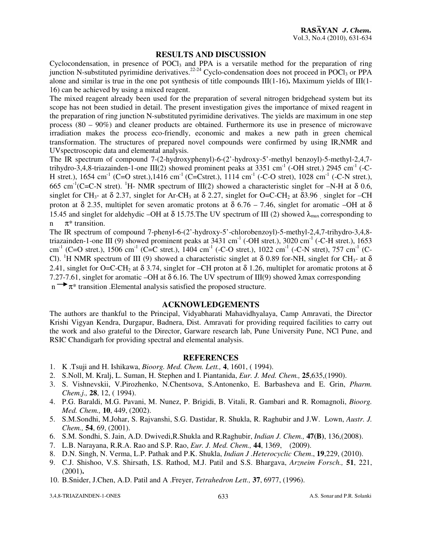#### **RESULTS AND DISCUSSION**

Cyclocondensation, in presence of  $POCl<sub>3</sub>$  and PPA is a versatile method for the preparation of ring junction N-substituted pyrimidine derivatives.<sup>22-24</sup> Cyclo-condensation does not proceed in POCl<sub>3</sub> or PPA alone and similar is true in the one pot synthesis of title compounds III(1-16)**.** Maximum yields of III(1- 16) can be achieved by using a mixed reagent.

The mixed reagent already been used for the preparation of several nitrogen bridgehead system but its scope has not been studied in detail. The present investigation gives the importance of mixed reagent in the preparation of ring junction N-substituted pyrimidine derivatives. The yields are maximum in one step process (80 – 90%) and cleaner products are obtained. Furthermore its use in presence of microwave irradiation makes the process eco-friendly, economic and makes a new path in green chemical transformation. The structures of prepared novel compounds were confirmed by using IR,NMR and UVspectroscopic data and elemental analysis.

The IR spectrum of compound 7-(2-hydroxyphenyl)-6-(2'-hydroxy-5'-methyl benzoyl)-5-methyl-2,4,7 trihydro-3,4,8-triazainden-1-one III(2) showed prominent peaks at 3351 cm<sup>-1</sup> (-OH stret.) 2945 cm<sup>-1</sup> (-C-H stret.),  $1654 \text{ cm}^{-1}$  (C=O stret.),  $1416 \text{ cm}^{-1}$  (C=Cstret.),  $1114 \text{ cm}^{-1}$  (-C-O stret),  $1028 \text{ cm}^{-1}$  (-C-N stret.), 665 cm<sup>-1</sup>(C=C-N stret). <sup>1</sup>H- NMR spectrum of III(2) showed a characteristic singlet for –N-H at  $\delta$  0.6, singlet for CH<sub>3</sub>- at  $\delta$  2.37, singlet for Ar-CH<sub>3</sub> at  $\delta$  2.27, singlet for O=C-CH<sub>2</sub> at  $\delta$ 3.96, singlet for -CH proton at δ 2.35, multiplet for seven aromatic protons at  $\delta$  6.76 – 7.46, singlet for aromatic –OH at δ 15.45 and singlet for aldehydic –OH at  $\delta$  15.75. The UV spectrum of III (2) showed  $\lambda_{\text{max}}$  corresponding to n  $\pi^*$  transition.

The IR spectrum of compound 7-phenyl-6-(2'-hydroxy-5'-chlorobenzoyl)-5-methyl-2,4,7-trihydro-3,4,8 triazainden-1-one III (9) showed prominent peaks at  $3431 \text{ cm}^{-1}$  (-OH stret.),  $3020 \text{ cm}^{-1}$  (-C-H stret.),  $1653$ cm<sup>-1</sup> (C=O stret.), 1506 cm<sup>-1</sup> (C=C stret.), 1404 cm<sup>-1</sup> (-C-O stret.), 1022 cm<sup>-1</sup> (-C-N stret), 757 cm<sup>-1</sup> (C-Cl). <sup>1</sup>H NMR spectrum of III (9) showed a characteristic singlet at  $\delta$  0.89 for-NH, singlet for CH<sub>3</sub>- at  $\delta$ 2.41, singlet for O=C-CH<sub>2</sub> at  $\delta$  3.74, singlet for –CH proton at  $\delta$  1.26, multiplet for aromatic protons at  $\delta$ 7.27-7.61, singlet for aromatic –OH at δ 6.16. The UV spectrum of III(9) showed λmax corresponding  $n \rightarrow \pi^*$  transition . Elemental analysis satisfied the proposed structure.

#### **ACKNOWLEDGEMENTS**

The authors are thankful to the Principal, Vidyabharati Mahavidhyalaya, Camp Amravati, the Director Krishi Vigyan Kendra, Durgapur, Badnera, Dist. Amravati for providing required facilities to carry out the work and also grateful to the Director, Garware research lab, Pune University Pune, NCl Pune, and RSIC Chandigarh for providing spectral and elemental analysis.

#### **REFERENCES**

- 1. K .Tsuji and H. Ishikawa, *Bioorg. Med. Chem. Lett.,* **4**, 1601, ( 1994).
- 2. S.Noll, M. Kralj, L. Suman, H. Stephen and I. Piantanida, *Eur. J. Med. Chem.,* **25**,635,(1990).
- 3. S. Vishnevskii, V.Pirozhenko, N.Chentsova, S.Antonenko, E. Barbasheva and E. Grin, *Pharm. Chem.j.,* **28**, 12, ( 1994).
- 4. P.G. Baraldi, M.G. Pavani, M. Nunez, P. Brigidi, B. Vitali, R. Gambari and R. Romagnoli, *Bioorg. Med. Chem.,* **10**, 449, (2002).
- 5. S.M.Sondhi, M.Johar, S. Rajvanshi, S.G. Dastidar, R. Shukla, R. Raghubir and J.W. Lown, *Austr. J. Chem.,* **54**, 69, (2001).
- 6. S.M. Sondhi, S. Jain, A.D. Dwivedi,R.Shukla and R.Raghubir, *Indian J. Chem.,* **47(B)**, 136,(2008).
- 7. L.B. Narayana, R.R.A. Rao and S.P. Rao, *Eur. J. Med. Chem.,* **44**, 1369, (2009).
- 8. D.N. Singh, N. Verma, L.P. Pathak and P.K. Shukla, *Indian J .Heterocyclic Chem*., **19**,229, (2010).
- 9. C.J. Shishoo, V.S. Shirsath, I.S. Rathod, M.J. Patil and S.S. Bhargava, *Arzneim Forsch.,* **51**, 221, (2001)**.**
- 10. B.Snider, J.Chen, A.D. Patil and A .Freyer, *Tetrahedron Lett.,* **37**, 6977, (1996).